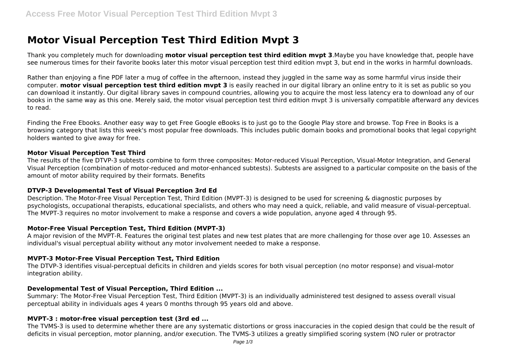# **Motor Visual Perception Test Third Edition Mvpt 3**

Thank you completely much for downloading **motor visual perception test third edition mvpt 3**.Maybe you have knowledge that, people have see numerous times for their favorite books later this motor visual perception test third edition mvpt 3, but end in the works in harmful downloads.

Rather than enjoying a fine PDF later a mug of coffee in the afternoon, instead they juggled in the same way as some harmful virus inside their computer. **motor visual perception test third edition mvpt 3** is easily reached in our digital library an online entry to it is set as public so you can download it instantly. Our digital library saves in compound countries, allowing you to acquire the most less latency era to download any of our books in the same way as this one. Merely said, the motor visual perception test third edition mvpt 3 is universally compatible afterward any devices to read.

Finding the Free Ebooks. Another easy way to get Free Google eBooks is to just go to the Google Play store and browse. Top Free in Books is a browsing category that lists this week's most popular free downloads. This includes public domain books and promotional books that legal copyright holders wanted to give away for free.

#### **Motor Visual Perception Test Third**

The results of the five DTVP-3 subtests combine to form three composites: Motor-reduced Visual Perception, Visual-Motor Integration, and General Visual Perception (combination of motor-reduced and motor-enhanced subtests). Subtests are assigned to a particular composite on the basis of the amount of motor ability required by their formats. Benefits

#### **DTVP-3 Developmental Test of Visual Perception 3rd Ed**

Description. The Motor-Free Visual Perception Test, Third Edition (MVPT-3) is designed to be used for screening & diagnostic purposes by psychologists, occupational therapists, educational specialists, and others who may need a quick, reliable, and valid measure of visual-perceptual. The MVPT-3 requires no motor involvement to make a response and covers a wide population, anyone aged 4 through 95.

## **Motor-Free Visual Perception Test, Third Edition (MVPT-3)**

A major revision of the MVPT-R. Features the original test plates and new test plates that are more challenging for those over age 10. Assesses an individual's visual perceptual ability without any motor involvement needed to make a response.

## **MVPT-3 Motor-Free Visual Perception Test, Third Edition**

The DTVP-3 identifies visual-perceptual deficits in children and yields scores for both visual perception (no motor response) and visual-motor integration ability.

#### **Developmental Test of Visual Perception, Third Edition ...**

Summary: The Motor-Free Visual Perception Test, Third Edition (MVPT-3) is an individually administered test designed to assess overall visual perceptual ability in individuals ages 4 years 0 months through 95 years old and above.

## **MVPT-3 : motor-free visual perception test (3rd ed ...**

The TVMS-3 is used to determine whether there are any systematic distortions or gross inaccuracies in the copied design that could be the result of deficits in visual perception, motor planning, and/or execution. The TVMS-3 utilizes a greatly simplified scoring system (NO ruler or protractor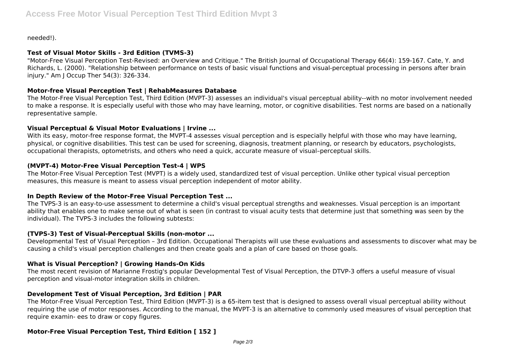needed!).

## **Test of Visual Motor Skills - 3rd Edition (TVMS-3)**

"Motor-Free Visual Perception Test-Revised: an Overview and Critique." The British Journal of Occupational Therapy 66(4): 159-167. Cate, Y. and Richards, L. (2000). "Relationship between performance on tests of basic visual functions and visual-perceptual processing in persons after brain injury." Am J Occup Ther 54(3): 326-334.

## **Motor-free Visual Perception Test | RehabMeasures Database**

The Motor-Free Visual Perception Test, Third Edition (MVPT-3) assesses an individual's visual perceptual ability--with no motor involvement needed to make a response. It is especially useful with those who may have learning, motor, or cognitive disabilities. Test norms are based on a nationally representative sample.

## **Visual Perceptual & Visual Motor Evaluations | Irvine ...**

With its easy, motor-free response format, the MVPT-4 assesses visual perception and is especially helpful with those who may have learning, physical, or cognitive disabilities. This test can be used for screening, diagnosis, treatment planning, or research by educators, psychologists, occupational therapists, optometrists, and others who need a quick, accurate measure of visual–perceptual skills.

# **(MVPT-4) Motor-Free Visual Perception Test-4 | WPS**

The Motor-Free Visual Perception Test (MVPT) is a widely used, standardized test of visual perception. Unlike other typical visual perception measures, this measure is meant to assess visual perception independent of motor ability.

## **In Depth Review of the Motor-Free Visual Perception Test ...**

The TVPS-3 is an easy-to-use assessment to determine a child's visual perceptual strengths and weaknesses. Visual perception is an important ability that enables one to make sense out of what is seen (in contrast to visual acuity tests that determine just that something was seen by the individual). The TVPS-3 includes the following subtests:

## **(TVPS-3) Test of Visual-Perceptual Skills (non-motor ...**

Developmental Test of Visual Perception – 3rd Edition. Occupational Therapists will use these evaluations and assessments to discover what may be causing a child's visual perception challenges and then create goals and a plan of care based on those goals.

# **What is Visual Perception? | Growing Hands-On Kids**

The most recent revision of Marianne Frostig's popular Developmental Test of Visual Perception, the DTVP-3 offers a useful measure of visual perception and visual-motor integration skills in children.

# **Development Test of Visual Perception, 3rd Edition | PAR**

The Motor-Free Visual Perception Test, Third Edition (MVPT-3) is a 65-item test that is designed to assess overall visual perceptual ability without requiring the use of motor responses. According to the manual, the MVPT-3 is an alternative to commonly used measures of visual perception that require examin- ees to draw or copy figures.

# **Motor-Free Visual Perception Test, Third Edition [ 152 ]**